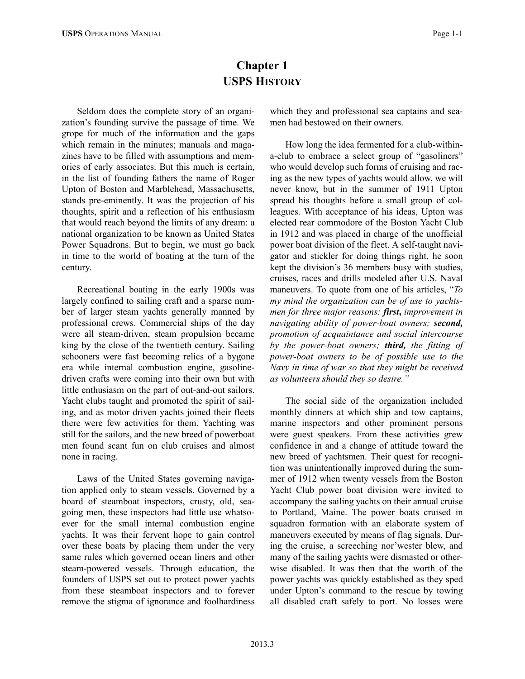# **Chapter 1 USPS HISTORY**

Seldom does the complete story of an organization's founding survive the passage of time. We grope for much of the information and the gaps which remain in the minutes; manuals and magazines have to be filled with assumptions and memories of early associates. But this much is certain, in the list of founding fathers the name of Roger Upton of Boston and Marblehead, Massachusetts, stands pre-eminently. It was the projection of his thoughts, spirit and a reflection of his enthusiasm that would reach beyond the limits of any dream: a national organization to be known as United States Power Squadrons. But to begin, we must go back in time to the world of boating at the turn of the century.

Recreational boating in the early 1900s was largely confined to sailing craft and a sparse number of larger steam yachts generally manned by professional crews. Commercial ships of the day were all steam-driven, steam propulsion became king by the close of the twentieth century. Sailing schooners were fast becoming relics of a bygone era while internal combustion engine, gasolinedriven crafts were coming into their own but with little enthusiasm on the part of out-and-out sailors. Yacht clubs taught and promoted the spirit of sailing, and as motor driven yachts joined their fleets there were few activities for them. Yachting was still for the sailors, and the new breed of powerboat men found scant fun on club cruises and almost none in racing.

Laws of the United States governing navigation applied only to steam vessels. Governed by a board of steamboat inspectors, crusty, old, seagoing men, these inspectors had little use whatsoever for the small internal combustion engine yachts. It was their fervent hope to gain control over these boats by placing them under the very same rules which governed ocean liners and other steam-powered vessels. Through education, the founders of USPS set out to protect power yachts from these steamboat inspectors and to forever remove the stigma of ignorance and foolhardiness which they and professional sea captains and seamen had bestowed on their owners.

How long the idea fermented for a club-withina-club to embrace a select group of "gasoliners" who would develop such forms of cruising and racing as the new types of yachts would allow, we will never know, but in the summer of 1911 Upton spread his thoughts before a small group of colleagues. With acceptance of his ideas, Upton was elected rear commodore of the Boston Yacht Club in 1912 and was placed in charge of the unofficial power boat division of the fleet. A self-taught navigator and stickler for doing things right, he soon kept the division's 36 members busy with studies, cruises, races and drills modeled after U.S. Naval maneuvers. To quote from one of his articles, "*To my mind the organization can be of use to yachtsmen for three major reasons: first***,** *improvement in navigating ability of power-boat owners; second, promotion of acquaintance and social intercourse by the power-boat owners; third, the fitting of power-boat owners to be of possible use to the Navy in time of war so that they might be received as volunteers should they so desire."*

The social side of the organization included monthly dinners at which ship and tow captains, marine inspectors and other prominent persons were guest speakers. From these activities grew confidence in and a change of attitude toward the new breed of yachtsmen. Their quest for recognition was unintentionally improved during the summer of 1912 when twenty vessels from the Boston Yacht Club power boat division were invited to accompany the sailing yachts on their annual cruise to Portland, Maine. The power boats cruised in squadron formation with an elaborate system of maneuvers executed by means of flag signals. During the cruise, a screeching nor'wester blew, and many of the sailing yachts were dismasted or otherwise disabled. It was then that the worth of the power yachts was quickly established as they sped under Upton's command to the rescue by towing all disabled craft safely to port. No losses were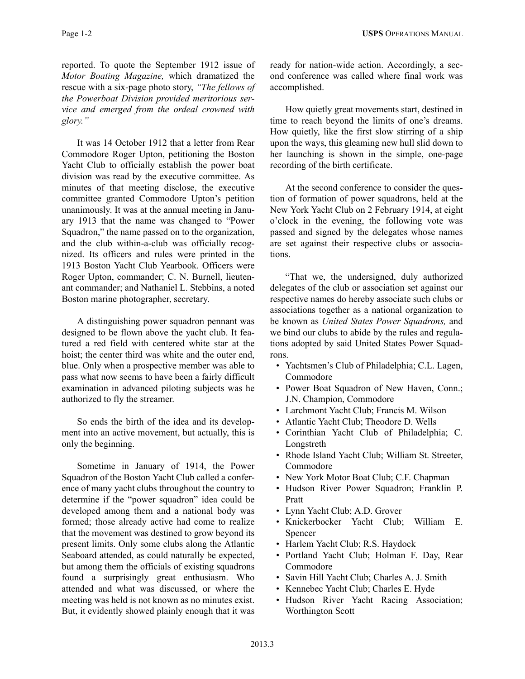reported. To quote the September 1912 issue of *Motor Boating Magazine,* which dramatized the rescue with a six-page photo story, *"The fellows of the Powerboat Division provided meritorious service and emerged from the ordeal crowned with glory."*

It was 14 October 1912 that a letter from Rear Commodore Roger Upton, petitioning the Boston Yacht Club to officially establish the power boat division was read by the executive committee. As minutes of that meeting disclose, the executive committee granted Commodore Upton's petition unanimously. It was at the annual meeting in January 1913 that the name was changed to "Power Squadron," the name passed on to the organization, and the club within-a-club was officially recognized. Its officers and rules were printed in the 1913 Boston Yacht Club Yearbook. Officers were Roger Upton, commander; C. N. Burnell, lieutenant commander; and Nathaniel L. Stebbins, a noted Boston marine photographer, secretary.

A distinguishing power squadron pennant was designed to be flown above the yacht club. It featured a red field with centered white star at the hoist; the center third was white and the outer end, blue. Only when a prospective member was able to pass what now seems to have been a fairly difficult examination in advanced piloting subjects was he authorized to fly the streamer.

So ends the birth of the idea and its development into an active movement, but actually, this is only the beginning.

Sometime in January of 1914, the Power Squadron of the Boston Yacht Club called a conference of many yacht clubs throughout the country to determine if the "power squadron" idea could be developed among them and a national body was formed; those already active had come to realize that the movement was destined to grow beyond its present limits. Only some clubs along the Atlantic Seaboard attended, as could naturally be expected, but among them the officials of existing squadrons found a surprisingly great enthusiasm. Who attended and what was discussed, or where the meeting was held is not known as no minutes exist. But, it evidently showed plainly enough that it was

ready for nation-wide action. Accordingly, a second conference was called where final work was accomplished.

How quietly great movements start, destined in time to reach beyond the limits of one's dreams. How quietly, like the first slow stirring of a ship upon the ways, this gleaming new hull slid down to her launching is shown in the simple, one-page recording of the birth certificate.

At the second conference to consider the question of formation of power squadrons, held at the New York Yacht Club on 2 February 1914, at eight o'clock in the evening, the following vote was passed and signed by the delegates whose names are set against their respective clubs or associations.

"That we, the undersigned, duly authorized delegates of the club or association set against our respective names do hereby associate such clubs or associations together as a national organization to be known as *United States Power Squadrons,* and we bind our clubs to abide by the rules and regulations adopted by said United States Power Squadrons.

- Yachtsmen's Club of Philadelphia; C.L. Lagen, Commodore
- Power Boat Squadron of New Haven, Conn.; J.N. Champion, Commodore
- Larchmont Yacht Club; Francis M. Wilson
- Atlantic Yacht Club; Theodore D. Wells
- Corinthian Yacht Club of Philadelphia; C. Longstreth
- Rhode Island Yacht Club; William St. Streeter, Commodore
- New York Motor Boat Club; C.F. Chapman
- Hudson River Power Squadron; Franklin P. Pratt
- Lynn Yacht Club; A.D. Grover
- Knickerbocker Yacht Club; William E. Spencer
- Harlem Yacht Club; R.S. Haydock
- Portland Yacht Club; Holman F. Day, Rear Commodore
- Savin Hill Yacht Club; Charles A. J. Smith
- Kennebec Yacht Club; Charles E. Hyde
- Hudson River Yacht Racing Association; Worthington Scott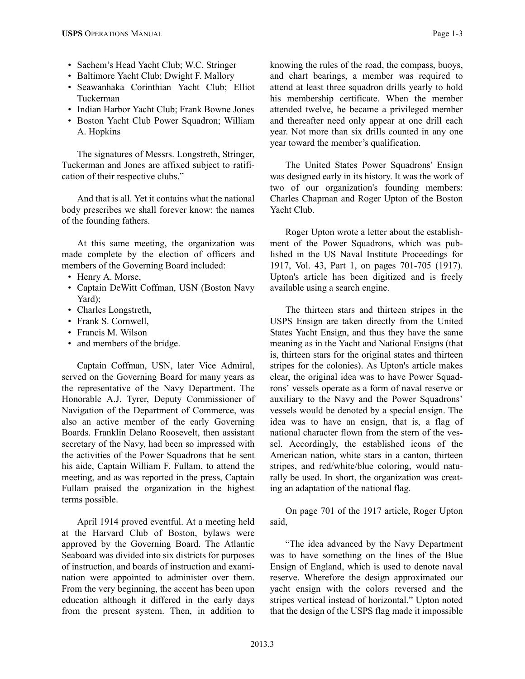- Sachem's Head Yacht Club; W.C. Stringer
- Baltimore Yacht Club; Dwight F. Mallory
- Seawanhaka Corinthian Yacht Club; Elliot Tuckerman
- Indian Harbor Yacht Club; Frank Bowne Jones
- Boston Yacht Club Power Squadron; William A. Hopkins

The signatures of Messrs. Longstreth, Stringer, Tuckerman and Jones are affixed subject to ratification of their respective clubs."

And that is all. Yet it contains what the national body prescribes we shall forever know: the names of the founding fathers.

At this same meeting, the organization was made complete by the election of officers and members of the Governing Board included:

- Henry A. Morse,
- Captain DeWitt Coffman, USN (Boston Navy Yard);
- Charles Longstreth,
- Frank S. Cornwell,
- Francis M. Wilson
- and members of the bridge.

Captain Coffman, USN, later Vice Admiral, served on the Governing Board for many years as the representative of the Navy Department. The Honorable A.J. Tyrer, Deputy Commissioner of Navigation of the Department of Commerce, was also an active member of the early Governing Boards. Franklin Delano Roosevelt, then assistant secretary of the Navy, had been so impressed with the activities of the Power Squadrons that he sent his aide, Captain William F. Fullam, to attend the meeting, and as was reported in the press, Captain Fullam praised the organization in the highest terms possible.

April 1914 proved eventful. At a meeting held at the Harvard Club of Boston, bylaws were approved by the Governing Board. The Atlantic Seaboard was divided into six districts for purposes of instruction, and boards of instruction and examination were appointed to administer over them. From the very beginning, the accent has been upon education although it differed in the early days from the present system. Then, in addition to

knowing the rules of the road, the compass, buoys, and chart bearings, a member was required to attend at least three squadron drills yearly to hold his membership certificate. When the member attended twelve, he became a privileged member and thereafter need only appear at one drill each year. Not more than six drills counted in any one year toward the member's qualification.

The United States Power Squadrons' Ensign was designed early in its history. It was the work of two of our organization's founding members: Charles Chapman and Roger Upton of the Boston Yacht Club.

Roger Upton wrote a letter about the establishment of the Power Squadrons, which was published in the US Naval Institute Proceedings for 1917, Vol. 43, Part 1, on pages 701-705 (1917). Upton's article has been digitized and is freely available using a search engine.

The thirteen stars and thirteen stripes in the USPS Ensign are taken directly from the United States Yacht Ensign, and thus they have the same meaning as in the Yacht and National Ensigns (that is, thirteen stars for the original states and thirteen stripes for the colonies). As Upton's article makes clear, the original idea was to have Power Squadrons' vessels operate as a form of naval reserve or auxiliary to the Navy and the Power Squadrons' vessels would be denoted by a special ensign. The idea was to have an ensign, that is, a flag of national character flown from the stern of the vessel. Accordingly, the established icons of the American nation, white stars in a canton, thirteen stripes, and red/white/blue coloring, would naturally be used. In short, the organization was creating an adaptation of the national flag.

On page 701 of the 1917 article, Roger Upton said,

"The idea advanced by the Navy Department was to have something on the lines of the Blue Ensign of England, which is used to denote naval reserve. Wherefore the design approximated our yacht ensign with the colors reversed and the stripes vertical instead of horizontal." Upton noted that the design of the USPS flag made it impossible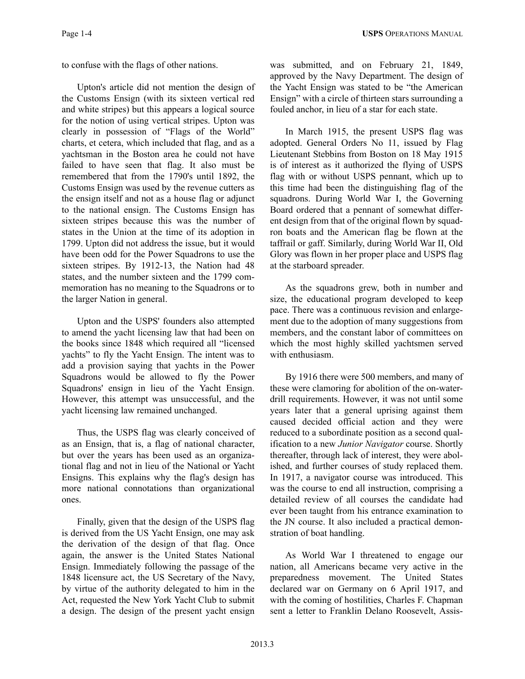to confuse with the flags of other nations.

Upton's article did not mention the design of the Customs Ensign (with its sixteen vertical red and white stripes) but this appears a logical source for the notion of using vertical stripes. Upton was clearly in possession of "Flags of the World" charts, et cetera, which included that flag, and as a yachtsman in the Boston area he could not have failed to have seen that flag. It also must be remembered that from the 1790's until 1892, the Customs Ensign was used by the revenue cutters as the ensign itself and not as a house flag or adjunct to the national ensign. The Customs Ensign has sixteen stripes because this was the number of states in the Union at the time of its adoption in 1799. Upton did not address the issue, but it would have been odd for the Power Squadrons to use the sixteen stripes. By 1912-13, the Nation had 48 states, and the number sixteen and the 1799 commemoration has no meaning to the Squadrons or to the larger Nation in general.

Upton and the USPS' founders also attempted to amend the yacht licensing law that had been on the books since 1848 which required all "licensed yachts" to fly the Yacht Ensign. The intent was to add a provision saying that yachts in the Power Squadrons would be allowed to fly the Power Squadrons' ensign in lieu of the Yacht Ensign. However, this attempt was unsuccessful, and the yacht licensing law remained unchanged.

Thus, the USPS flag was clearly conceived of as an Ensign, that is, a flag of national character, but over the years has been used as an organizational flag and not in lieu of the National or Yacht Ensigns. This explains why the flag's design has more national connotations than organizational ones.

Finally, given that the design of the USPS flag is derived from the US Yacht Ensign, one may ask the derivation of the design of that flag. Once again, the answer is the United States National Ensign. Immediately following the passage of the 1848 licensure act, the US Secretary of the Navy, by virtue of the authority delegated to him in the Act, requested the New York Yacht Club to submit a design. The design of the present yacht ensign

was submitted, and on February 21, 1849, approved by the Navy Department. The design of the Yacht Ensign was stated to be "the American Ensign" with a circle of thirteen stars surrounding a fouled anchor, in lieu of a star for each state.

In March 1915, the present USPS flag was adopted. General Orders No 11, issued by Flag Lieutenant Stebbins from Boston on 18 May 1915 is of interest as it authorized the flying of USPS flag with or without USPS pennant, which up to this time had been the distinguishing flag of the squadrons. During World War I, the Governing Board ordered that a pennant of somewhat different design from that of the original flown by squadron boats and the American flag be flown at the taffrail or gaff. Similarly, during World War II, Old Glory was flown in her proper place and USPS flag at the starboard spreader.

As the squadrons grew, both in number and size, the educational program developed to keep pace. There was a continuous revision and enlargement due to the adoption of many suggestions from members, and the constant labor of committees on which the most highly skilled yachtsmen served with enthusiasm.

By 1916 there were 500 members, and many of these were clamoring for abolition of the on-waterdrill requirements. However, it was not until some years later that a general uprising against them caused decided official action and they were reduced to a subordinate position as a second qualification to a new *Junior Navigator* course. Shortly thereafter, through lack of interest, they were abolished, and further courses of study replaced them. In 1917, a navigator course was introduced. This was the course to end all instruction, comprising a detailed review of all courses the candidate had ever been taught from his entrance examination to the JN course. It also included a practical demonstration of boat handling.

As World War I threatened to engage our nation, all Americans became very active in the preparedness movement. The United States declared war on Germany on 6 April 1917, and with the coming of hostilities, Charles F. Chapman sent a letter to Franklin Delano Roosevelt, Assis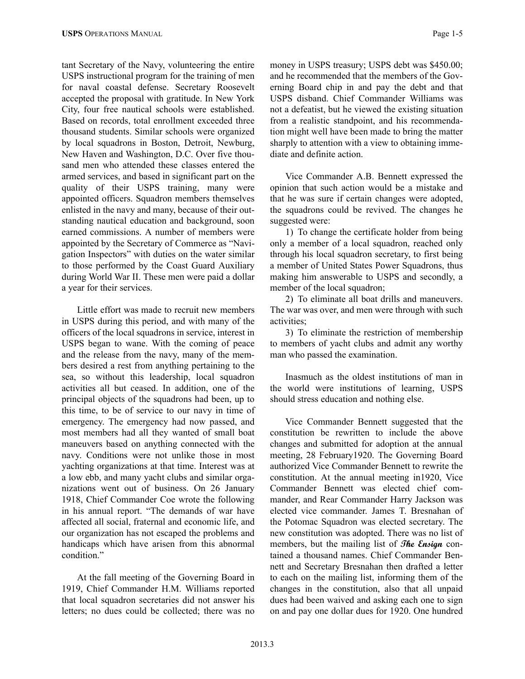tant Secretary of the Navy, volunteering the entire USPS instructional program for the training of men for naval coastal defense. Secretary Roosevelt accepted the proposal with gratitude. In New York City, four free nautical schools were established. Based on records, total enrollment exceeded three thousand students. Similar schools were organized by local squadrons in Boston, Detroit, Newburg, New Haven and Washington, D.C. Over five thousand men who attended these classes entered the armed services, and based in significant part on the quality of their USPS training, many were appointed officers. Squadron members themselves enlisted in the navy and many, because of their outstanding nautical education and background, soon earned commissions. A number of members were appointed by the Secretary of Commerce as "Navigation Inspectors" with duties on the water similar to those performed by the Coast Guard Auxiliary during World War II. These men were paid a dollar a year for their services.

Little effort was made to recruit new members in USPS during this period, and with many of the officers of the local squadrons in service, interest in USPS began to wane. With the coming of peace and the release from the navy, many of the members desired a rest from anything pertaining to the sea, so without this leadership, local squadron activities all but ceased. In addition, one of the principal objects of the squadrons had been, up to this time, to be of service to our navy in time of emergency. The emergency had now passed, and most members had all they wanted of small boat maneuvers based on anything connected with the navy. Conditions were not unlike those in most yachting organizations at that time. Interest was at a low ebb, and many yacht clubs and similar organizations went out of business. On 26 January 1918, Chief Commander Coe wrote the following in his annual report. "The demands of war have affected all social, fraternal and economic life, and our organization has not escaped the problems and handicaps which have arisen from this abnormal condition<sup>"</sup>

At the fall meeting of the Governing Board in 1919, Chief Commander H.M. Williams reported that local squadron secretaries did not answer his letters; no dues could be collected; there was no money in USPS treasury; USPS debt was \$450.00; and he recommended that the members of the Governing Board chip in and pay the debt and that USPS disband. Chief Commander Williams was not a defeatist, but he viewed the existing situation from a realistic standpoint, and his recommendation might well have been made to bring the matter sharply to attention with a view to obtaining immediate and definite action.

Vice Commander A.B. Bennett expressed the opinion that such action would be a mistake and that he was sure if certain changes were adopted, the squadrons could be revived. The changes he suggested were:

1) To change the certificate holder from being only a member of a local squadron, reached only through his local squadron secretary, to first being a member of United States Power Squadrons, thus making him answerable to USPS and secondly, a member of the local squadron;

2) To eliminate all boat drills and maneuvers. The war was over, and men were through with such activities;

3) To eliminate the restriction of membership to members of yacht clubs and admit any worthy man who passed the examination.

Inasmuch as the oldest institutions of man in the world were institutions of learning, USPS should stress education and nothing else.

Vice Commander Bennett suggested that the constitution be rewritten to include the above changes and submitted for adoption at the annual meeting, 28 February1920. The Governing Board authorized Vice Commander Bennett to rewrite the constitution. At the annual meeting in1920, Vice Commander Bennett was elected chief commander, and Rear Commander Harry Jackson was elected vice commander. James T. Bresnahan of the Potomac Squadron was elected secretary. The new constitution was adopted. There was no list of members, but the mailing list of **The Ensign** contained a thousand names. Chief Commander Bennett and Secretary Bresnahan then drafted a letter to each on the mailing list, informing them of the changes in the constitution, also that all unpaid dues had been waived and asking each one to sign on and pay one dollar dues for 1920. One hundred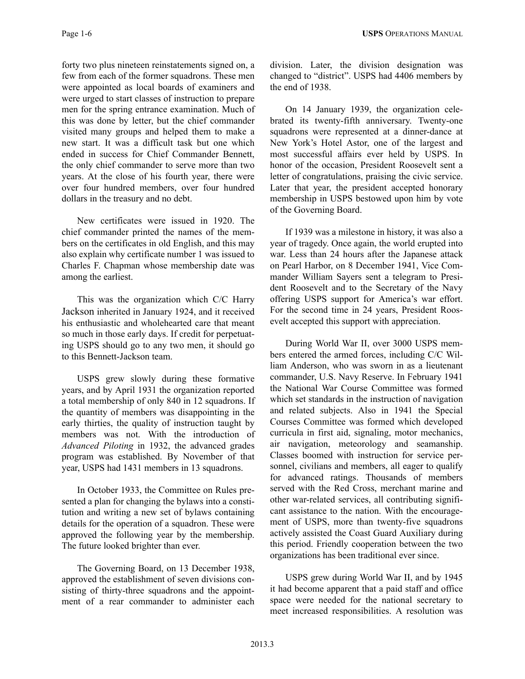forty two plus nineteen reinstatements signed on, a few from each of the former squadrons. These men were appointed as local boards of examiners and were urged to start classes of instruction to prepare men for the spring entrance examination. Much of this was done by letter, but the chief commander visited many groups and helped them to make a new start. It was a difficult task but one which ended in success for Chief Commander Bennett, the only chief commander to serve more than two years. At the close of his fourth year, there were over four hundred members, over four hundred dollars in the treasury and no debt.

New certificates were issued in 1920. The chief commander printed the names of the members on the certificates in old English, and this may also explain why certificate number 1 was issued to Charles F. Chapman whose membership date was among the earliest.

This was the organization which C/C Harry Jackson inherited in January 1924, and it received his enthusiastic and wholehearted care that meant so much in those early days. If credit for perpetuating USPS should go to any two men, it should go to this Bennett-Jackson team.

USPS grew slowly during these formative years, and by April 1931 the organization reported a total membership of only 840 in 12 squadrons. If the quantity of members was disappointing in the early thirties, the quality of instruction taught by members was not. With the introduction of *Advanced Piloting* in 1932, the advanced grades program was established. By November of that year, USPS had 1431 members in 13 squadrons.

In October 1933, the Committee on Rules presented a plan for changing the bylaws into a constitution and writing a new set of bylaws containing details for the operation of a squadron. These were approved the following year by the membership. The future looked brighter than ever.

The Governing Board, on 13 December 1938, approved the establishment of seven divisions consisting of thirty-three squadrons and the appointment of a rear commander to administer each division. Later, the division designation was changed to "district". USPS had 4406 members by the end of 1938.

On 14 January 1939, the organization celebrated its twenty-fifth anniversary. Twenty-one squadrons were represented at a dinner-dance at New York's Hotel Astor, one of the largest and most successful affairs ever held by USPS. In honor of the occasion, President Roosevelt sent a letter of congratulations, praising the civic service. Later that year, the president accepted honorary membership in USPS bestowed upon him by vote of the Governing Board.

If 1939 was a milestone in history, it was also a year of tragedy. Once again, the world erupted into war. Less than 24 hours after the Japanese attack on Pearl Harbor, on 8 December 1941, Vice Commander William Sayers sent a telegram to President Roosevelt and to the Secretary of the Navy offering USPS support for America's war effort. For the second time in 24 years, President Roosevelt accepted this support with appreciation.

During World War II, over 3000 USPS members entered the armed forces, including C/C William Anderson, who was sworn in as a lieutenant commander, U.S. Navy Reserve. In February 1941 the National War Course Committee was formed which set standards in the instruction of navigation and related subjects. Also in 1941 the Special Courses Committee was formed which developed curricula in first aid, signaling, motor mechanics, air navigation, meteorology and seamanship. Classes boomed with instruction for service personnel, civilians and members, all eager to qualify for advanced ratings. Thousands of members served with the Red Cross, merchant marine and other war-related services, all contributing significant assistance to the nation. With the encouragement of USPS, more than twenty-five squadrons actively assisted the Coast Guard Auxiliary during this period. Friendly cooperation between the two organizations has been traditional ever since.

USPS grew during World War II, and by 1945 it had become apparent that a paid staff and office space were needed for the national secretary to meet increased responsibilities. A resolution was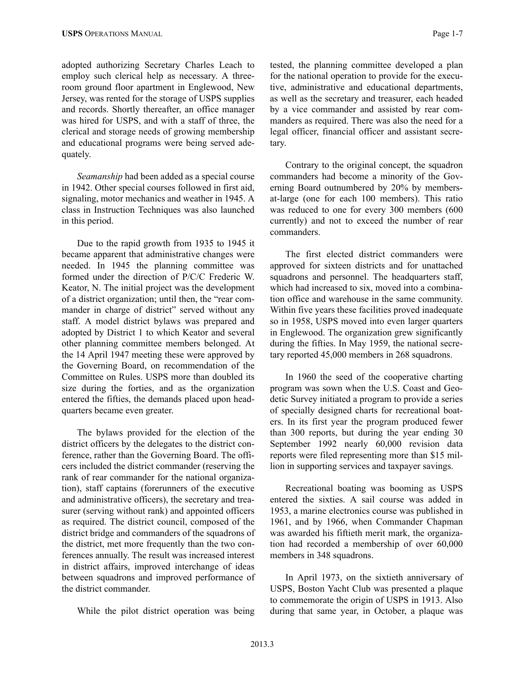adopted authorizing Secretary Charles Leach to employ such clerical help as necessary. A threeroom ground floor apartment in Englewood, New Jersey, was rented for the storage of USPS supplies and records. Shortly thereafter, an office manager was hired for USPS, and with a staff of three, the clerical and storage needs of growing membership and educational programs were being served adequately.

*Seamanship* had been added as a special course in 1942. Other special courses followed in first aid, signaling, motor mechanics and weather in 1945. A class in Instruction Techniques was also launched in this period.

Due to the rapid growth from 1935 to 1945 it became apparent that administrative changes were needed. In 1945 the planning committee was formed under the direction of P/C/C Frederic W. Keator, N. The initial project was the development of a district organization; until then, the "rear commander in charge of district" served without any staff. A model district bylaws was prepared and adopted by District 1 to which Keator and several other planning committee members belonged. At the 14 April 1947 meeting these were approved by the Governing Board, on recommendation of the Committee on Rules. USPS more than doubled its size during the forties, and as the organization entered the fifties, the demands placed upon headquarters became even greater.

The bylaws provided for the election of the district officers by the delegates to the district conference, rather than the Governing Board. The officers included the district commander (reserving the rank of rear commander for the national organization), staff captains (forerunners of the executive and administrative officers), the secretary and treasurer (serving without rank) and appointed officers as required. The district council, composed of the district bridge and commanders of the squadrons of the district, met more frequently than the two conferences annually. The result was increased interest in district affairs, improved interchange of ideas between squadrons and improved performance of the district commander.

While the pilot district operation was being

tested, the planning committee developed a plan for the national operation to provide for the executive, administrative and educational departments, as well as the secretary and treasurer, each headed by a vice commander and assisted by rear commanders as required. There was also the need for a legal officer, financial officer and assistant secretary.

Contrary to the original concept, the squadron commanders had become a minority of the Governing Board outnumbered by 20% by membersat-large (one for each 100 members). This ratio was reduced to one for every 300 members (600 currently) and not to exceed the number of rear commanders.

The first elected district commanders were approved for sixteen districts and for unattached squadrons and personnel. The headquarters staff, which had increased to six, moved into a combination office and warehouse in the same community. Within five years these facilities proved inadequate so in 1958, USPS moved into even larger quarters in Englewood. The organization grew significantly during the fifties. In May 1959, the national secretary reported 45,000 members in 268 squadrons.

In 1960 the seed of the cooperative charting program was sown when the U.S. Coast and Geodetic Survey initiated a program to provide a series of specially designed charts for recreational boaters. In its first year the program produced fewer than 300 reports, but during the year ending 30 September 1992 nearly 60,000 revision data reports were filed representing more than \$15 million in supporting services and taxpayer savings.

Recreational boating was booming as USPS entered the sixties. A sail course was added in 1953, a marine electronics course was published in 1961, and by 1966, when Commander Chapman was awarded his fiftieth merit mark, the organization had recorded a membership of over 60,000 members in 348 squadrons.

In April 1973, on the sixtieth anniversary of USPS, Boston Yacht Club was presented a plaque to commemorate the origin of USPS in 1913. Also during that same year, in October, a plaque was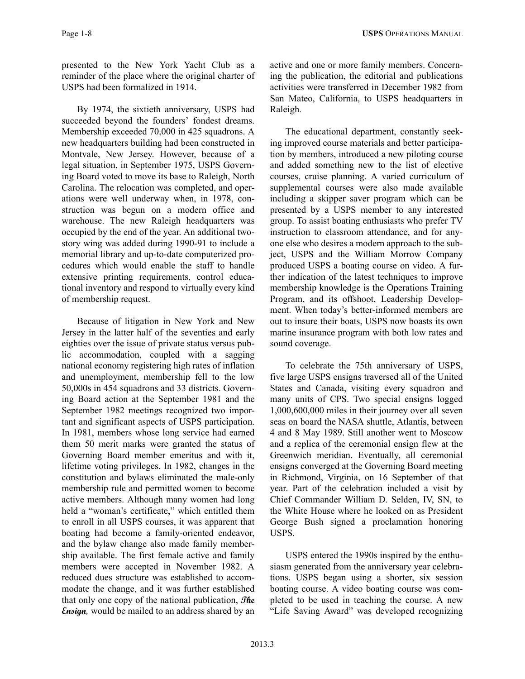presented to the New York Yacht Club as a reminder of the place where the original charter of USPS had been formalized in 1914.

By 1974, the sixtieth anniversary, USPS had succeeded beyond the founders' fondest dreams. Membership exceeded 70,000 in 425 squadrons. A new headquarters building had been constructed in Montvale, New Jersey. However, because of a legal situation, in September 1975, USPS Governing Board voted to move its base to Raleigh, North Carolina. The relocation was completed, and operations were well underway when, in 1978, construction was begun on a modern office and warehouse. The new Raleigh headquarters was occupied by the end of the year. An additional twostory wing was added during 1990-91 to include a memorial library and up-to-date computerized procedures which would enable the staff to handle extensive printing requirements, control educational inventory and respond to virtually every kind of membership request.

Because of litigation in New York and New Jersey in the latter half of the seventies and early eighties over the issue of private status versus public accommodation, coupled with a sagging national economy registering high rates of inflation and unemployment, membership fell to the low 50,000s in 454 squadrons and 33 districts. Governing Board action at the September 1981 and the September 1982 meetings recognized two important and significant aspects of USPS participation. In 1981, members whose long service had earned them 50 merit marks were granted the status of Governing Board member emeritus and with it, lifetime voting privileges. In 1982, changes in the constitution and bylaws eliminated the male-only membership rule and permitted women to become active members. Although many women had long held a "woman's certificate," which entitled them to enroll in all USPS courses, it was apparent that boating had become a family-oriented endeavor, and the bylaw change also made family membership available. The first female active and family members were accepted in November 1982. A reduced dues structure was established to accommodate the change, and it was further established that only one copy of the national publication, **The Ensign***,* would be mailed to an address shared by an

active and one or more family members. Concerning the publication, the editorial and publications activities were transferred in December 1982 from San Mateo, California, to USPS headquarters in Raleigh.

The educational department, constantly seeking improved course materials and better participation by members, introduced a new piloting course and added something new to the list of elective courses, cruise planning. A varied curriculum of supplemental courses were also made available including a skipper saver program which can be presented by a USPS member to any interested group. To assist boating enthusiasts who prefer TV instruction to classroom attendance, and for anyone else who desires a modern approach to the subject, USPS and the William Morrow Company produced USPS a boating course on video. A further indication of the latest techniques to improve membership knowledge is the Operations Training Program, and its offshoot, Leadership Development. When today's better-informed members are out to insure their boats, USPS now boasts its own marine insurance program with both low rates and sound coverage.

To celebrate the 75th anniversary of USPS, five large USPS ensigns traversed all of the United States and Canada, visiting every squadron and many units of CPS. Two special ensigns logged 1,000,600,000 miles in their journey over all seven seas on board the NASA shuttle, Atlantis, between 4 and 8 May 1989. Still another went to Moscow and a replica of the ceremonial ensign flew at the Greenwich meridian. Eventually, all ceremonial ensigns converged at the Governing Board meeting in Richmond, Virginia, on 16 September of that year. Part of the celebration included a visit by Chief Commander William D. Selden, IV, SN, to the White House where he looked on as President George Bush signed a proclamation honoring USPS.

USPS entered the 1990s inspired by the enthusiasm generated from the anniversary year celebrations. USPS began using a shorter, six session boating course. A video boating course was completed to be used in teaching the course. A new "Life Saving Award" was developed recognizing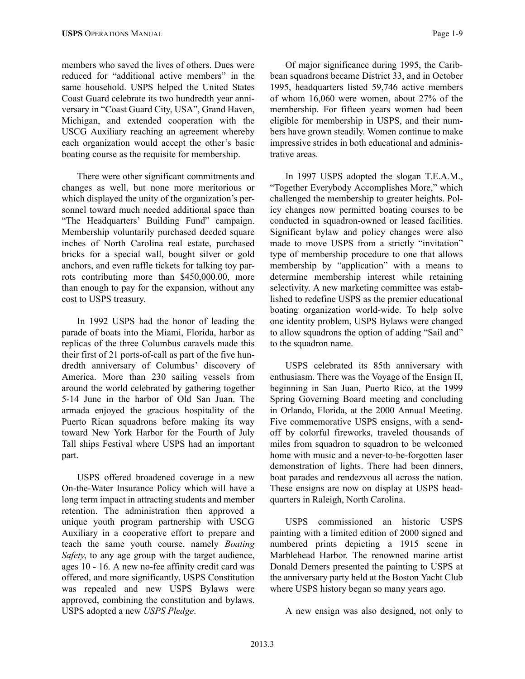members who saved the lives of others. Dues were reduced for "additional active members" in the same household. USPS helped the United States Coast Guard celebrate its two hundredth year anniversary in "Coast Guard City, USA", Grand Haven, Michigan, and extended cooperation with the USCG Auxiliary reaching an agreement whereby each organization would accept the other's basic boating course as the requisite for membership.

There were other significant commitments and changes as well, but none more meritorious or which displayed the unity of the organization's personnel toward much needed additional space than "The Headquarters' Building Fund" campaign. Membership voluntarily purchased deeded square inches of North Carolina real estate, purchased bricks for a special wall, bought silver or gold anchors, and even raffle tickets for talking toy parrots contributing more than \$450,000.00, more than enough to pay for the expansion, without any cost to USPS treasury.

In 1992 USPS had the honor of leading the parade of boats into the Miami, Florida, harbor as replicas of the three Columbus caravels made this their first of 21 ports-of-call as part of the five hundredth anniversary of Columbus' discovery of America. More than 230 sailing vessels from around the world celebrated by gathering together 5-14 June in the harbor of Old San Juan. The armada enjoyed the gracious hospitality of the Puerto Rican squadrons before making its way toward New York Harbor for the Fourth of July Tall ships Festival where USPS had an important part.

USPS offered broadened coverage in a new On-the-Water Insurance Policy which will have a long term impact in attracting students and member retention. The administration then approved a unique youth program partnership with USCG Auxiliary in a cooperative effort to prepare and teach the same youth course, namely *Boating Safety*, to any age group with the target audience, ages 10 - 16. A new no-fee affinity credit card was offered, and more significantly, USPS Constitution was repealed and new USPS Bylaws were approved, combining the constitution and bylaws. USPS adopted a new *USPS Pledge*.

Of major significance during 1995, the Caribbean squadrons became District 33, and in October 1995, headquarters listed 59,746 active members of whom 16,060 were women, about 27% of the membership. For fifteen years women had been eligible for membership in USPS, and their numbers have grown steadily. Women continue to make impressive strides in both educational and administrative areas.

In 1997 USPS adopted the slogan T.E.A.M., "Together Everybody Accomplishes More," which challenged the membership to greater heights. Policy changes now permitted boating courses to be conducted in squadron-owned or leased facilities. Significant bylaw and policy changes were also made to move USPS from a strictly "invitation" type of membership procedure to one that allows membership by "application" with a means to determine membership interest while retaining selectivity. A new marketing committee was established to redefine USPS as the premier educational boating organization world-wide. To help solve one identity problem, USPS Bylaws were changed to allow squadrons the option of adding "Sail and" to the squadron name.

USPS celebrated its 85th anniversary with enthusiasm. There was the Voyage of the Ensign II, beginning in San Juan, Puerto Rico, at the 1999 Spring Governing Board meeting and concluding in Orlando, Florida, at the 2000 Annual Meeting. Five commemorative USPS ensigns, with a sendoff by colorful fireworks, traveled thousands of miles from squadron to squadron to be welcomed home with music and a never-to-be-forgotten laser demonstration of lights. There had been dinners, boat parades and rendezvous all across the nation. These ensigns are now on display at USPS headquarters in Raleigh, North Carolina.

USPS commissioned an historic USPS painting with a limited edition of 2000 signed and numbered prints depicting a 1915 scene in Marblehead Harbor. The renowned marine artist Donald Demers presented the painting to USPS at the anniversary party held at the Boston Yacht Club where USPS history began so many years ago.

A new ensign was also designed, not only to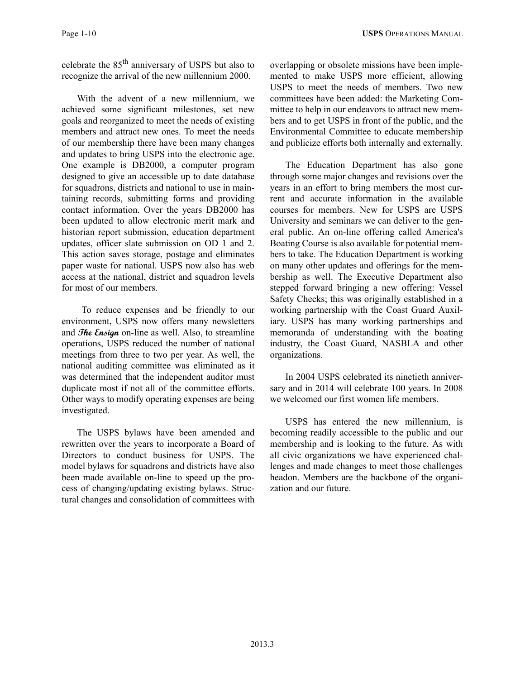celebrate the 85th anniversary of USPS but also to recognize the arrival of the new millennium 2000.

With the advent of a new millennium, we achieved some significant milestones, set new goals and reorganized to meet the needs of existing members and attract new ones. To meet the needs of our membership there have been many changes and updates to bring USPS into the electronic age. One example is DB2000, a computer program designed to give an accessible up to date database for squadrons, districts and national to use in maintaining records, submitting forms and providing contact information. Over the years DB2000 has been updated to allow electronic merit mark and historian report submission, education department updates, officer slate submission on OD 1 and 2. This action saves storage, postage and eliminates paper waste for national. USPS now also has web access at the national, district and squadron levels for most of our members.

 To reduce expenses and be friendly to our environment, USPS now offers many newsletters and **The Ensign** on-line as well. Also, to streamline operations, USPS reduced the number of national meetings from three to two per year. As well, the national auditing committee was eliminated as it was determined that the independent auditor must duplicate most if not all of the committee efforts. Other ways to modify operating expenses are being investigated.

The USPS bylaws have been amended and rewritten over the years to incorporate a Board of Directors to conduct business for USPS. The model bylaws for squadrons and districts have also been made available on-line to speed up the process of changing/updating existing bylaws. Structural changes and consolidation of committees with

overlapping or obsolete missions have been implemented to make USPS more efficient, allowing USPS to meet the needs of members. Two new committees have been added: the Marketing Committee to help in our endeavors to attract new members and to get USPS in front of the public, and the Environmental Committee to educate membership and publicize efforts both internally and externally.

The Education Department has also gone through some major changes and revisions over the years in an effort to bring members the most current and accurate information in the available courses for members. New for USPS are USPS University and seminars we can deliver to the general public. An on-line offering called America's Boating Course is also available for potential members to take. The Education Department is working on many other updates and offerings for the membership as well. The Executive Department also stepped forward bringing a new offering: Vessel Safety Checks; this was originally established in a working partnership with the Coast Guard Auxiliary. USPS has many working partnerships and memoranda of understanding with the boating industry, the Coast Guard, NASBLA and other organizations.

In 2004 USPS celebrated its ninetieth anniversary and in 2014 will celebrate 100 years. In 2008 we welcomed our first women life members.

USPS has entered the new millennium, is becoming readily accessible to the public and our membership and is looking to the future. As with all civic organizations we have experienced challenges and made changes to meet those challenges headon. Members are the backbone of the organization and our future.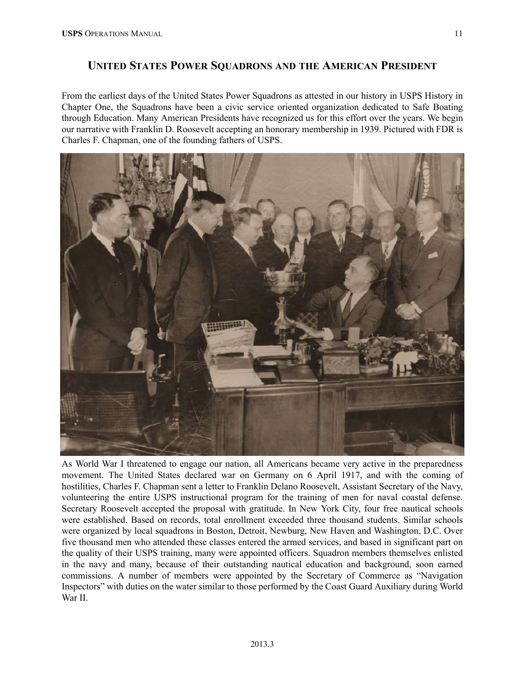## **UNITED STATES POWER SQUADRONS AND THE AMERICAN PRESIDENT**

From the earliest days of the United States Power Squadrons as attested in our history in USPS History in Chapter One, the Squadrons have been a civic service oriented organization dedicated to Safe Boating through Education. Many American Presidents have recognized us for this effort over the years. We begin our narrative with Franklin D. Roosevelt accepting an honorary membership in 1939. Pictured with FDR is Charles F. Chapman, one of the founding fathers of USPS.



As World War I threatened to engage our nation, all Americans became very active in the preparedness movement. The United States declared war on Germany on 6 April 1917, and with the coming of hostilities, Charles F. Chapman sent a letter to Franklin Delano Roosevelt, Assistant Secretary of the Navy, volunteering the entire USPS instructional program for the training of men for naval coastal defense. Secretary Roosevelt accepted the proposal with gratitude. In New York City, four free nautical schools were established. Based on records, total enrollment exceeded three thousand students. Similar schools were organized by local squadrons in Boston, Detroit, Newburg, New Haven and Washington, D.C. Over five thousand men who attended these classes entered the armed services, and based in significant part on the quality of their USPS training, many were appointed officers. Squadron members themselves enlisted in the navy and many, because of their outstanding nautical education and background, soon earned commissions. A number of members were appointed by the Secretary of Commerce as "Navigation Inspectors" with duties on the water similar to those performed by the Coast Guard Auxiliary during World War II.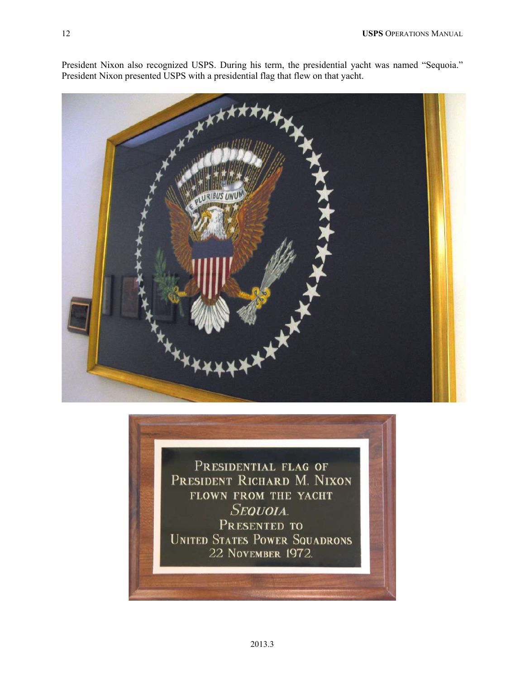

President Nixon also recognized USPS. During his term, the presidential yacht was named "Sequoia." President Nixon presented USPS with a presidential flag that flew on that yacht.

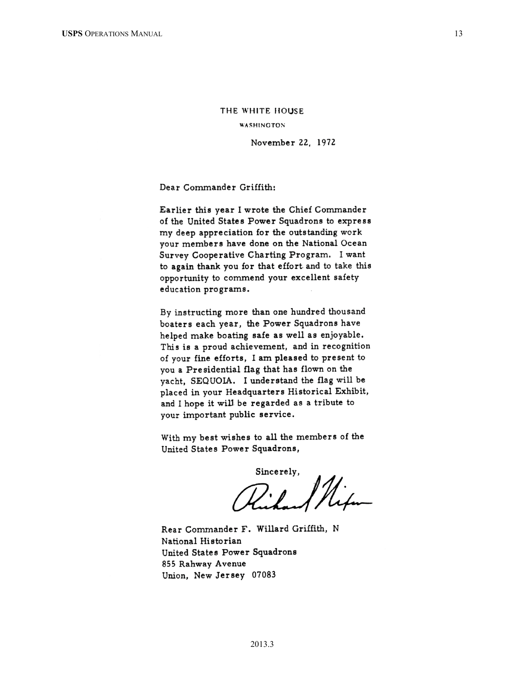#### THE WHITE HOUSE

**WASHINGTON** 

November 22, 1972

#### Dear Commander Griffith:

Earlier this year I wrote the Chief Commander of the United States Power Squadrons to express my deep appreciation for the outstanding work your members have done on the National Ocean Survey Cooperative Charting Program. I want to again thank you for that effort and to take this opportunity to commend your excellent safety education programs.

By instructing more than one hundred thousand boaters each year, the Power Squadrons have helped make boating safe as well as enjoyable. This is a proud achievement, and in recognition of your fine efforts, I am pleased to present to you a Presidential flag that has flown on the yacht, SEQUOIA. I understand the flag will be placed in your Headquarters Historical Exhibit, and I hope it will be regarded as a tribute to your important public service.

With my best wishes to all the members of the United States Power Squadrons,

Sincerely,  $D \cdot P$ 

Rear Commander F. Willard Griffith, N National Historian United States Power Squadrons 855 Rahway Avenue Union, New Jersey 07083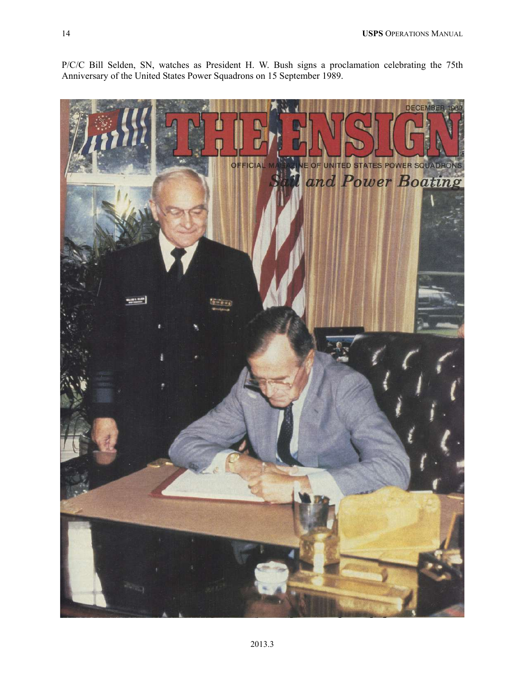P/C/C Bill Selden, SN, watches as President H. W. Bush signs a proclamation celebrating the 75th Anniversary of the United States Power Squadrons on 15 September 1989.

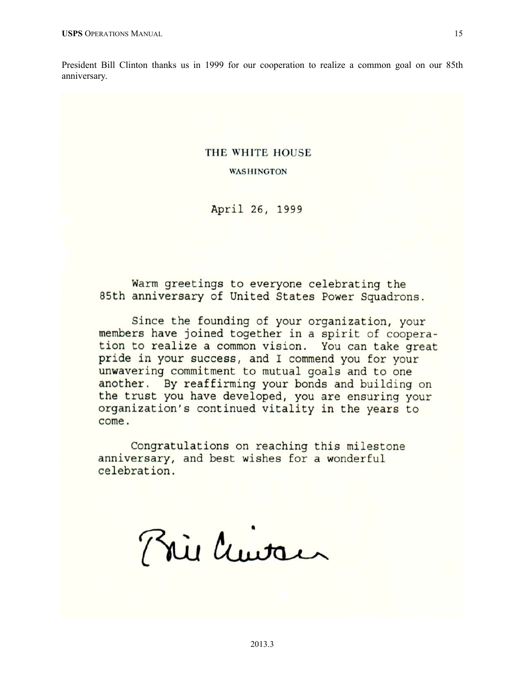President Bill Clinton thanks us in 1999 for our cooperation to realize a common goal on our 85th anniversary.

### THE WHITE HOUSE

#### **WASHINGTON**

April 26, 1999

Warm greetings to everyone celebrating the 85th anniversary of United States Power Squadrons.

Since the founding of your organization, your members have joined together in a spirit of cooperation to realize a common vision. You can take great pride in your success, and I commend you for your unwavering commitment to mutual goals and to one another. By reaffirming your bonds and building on the trust you have developed, you are ensuring your organization's continued vitality in the years to come.

Congratulations on reaching this milestone anniversary, and best wishes for a wonderful celebration.

Phi Cuitain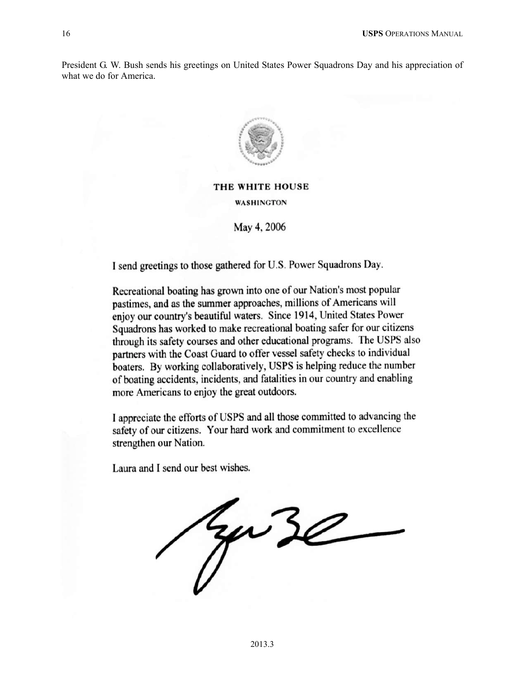President G. W. Bush sends his greetings on United States Power Squadrons Day and his appreciation of what we do for America.



## THE WHITE HOUSE **WASHINGTON**

May 4, 2006

I send greetings to those gathered for U.S. Power Squadrons Day.

Recreational boating has grown into one of our Nation's most popular pastimes, and as the summer approaches, millions of Americans will enjoy our country's beautiful waters. Since 1914, United States Power Squadrons has worked to make recreational boating safer for our citizens through its safety courses and other educational programs. The USPS also partners with the Coast Guard to offer vessel safety checks to individual boaters. By working collaboratively, USPS is helping reduce the number of boating accidents, incidents, and fatalities in our country and enabling more Americans to enjoy the great outdoors.

I appreciate the efforts of USPS and all those committed to advancing the safety of our citizens. Your hard work and commitment to excellence strengthen our Nation.

Laura and I send our best wishes.

en 30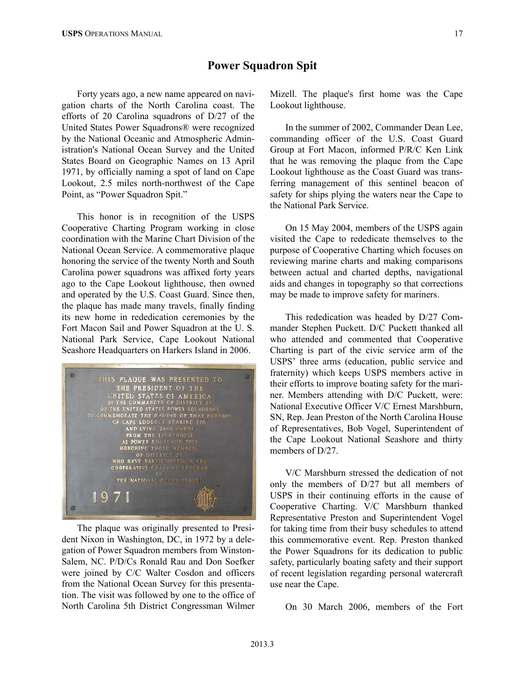## **Power Squadron Spit**

Forty years ago, a new name appeared on navigation charts of the North Carolina coast. The efforts of 20 Carolina squadrons of D/27 of the United States Power Squadrons® were recognized by the National Oceanic and Atmospheric Administration's National Ocean Survey and the United States Board on Geographic Names on 13 April 1971, by officially naming a spot of land on Cape Lookout, 2.5 miles north-northwest of the Cape Point, as "Power Squadron Spit."

This honor is in recognition of the USPS Cooperative Charting Program working in close coordination with the Marine Chart Division of the National Ocean Service. A commemorative plaque honoring the service of the twenty North and South Carolina power squadrons was affixed forty years ago to the Cape Lookout lighthouse, then owned and operated by the U.S. Coast Guard. Since then, the plaque has made many travels, finally finding its new home in rededication ceremonies by the Fort Macon Sail and Power Squadron at the U. S. National Park Service, Cape Lookout National Seashore Headquarters on Harkers Island in 2006.



The plaque was originally presented to President Nixon in Washington, DC, in 1972 by a delegation of Power Squadron members from Winston-Salem, NC. P/D/Cs Ronald Rau and Don Soefker were joined by C/C Walter Cosdon and officers from the National Ocean Survey for this presentation. The visit was followed by one to the office of North Carolina 5th District Congressman Wilmer

Mizell. The plaque's first home was the Cape Lookout lighthouse.

In the summer of 2002, Commander Dean Lee, commanding officer of the U.S. Coast Guard Group at Fort Macon, informed P/R/C Ken Link that he was removing the plaque from the Cape Lookout lighthouse as the Coast Guard was transferring management of this sentinel beacon of safety for ships plying the waters near the Cape to the National Park Service.

On 15 May 2004, members of the USPS again visited the Cape to rededicate themselves to the purpose of Cooperative Charting which focuses on reviewing marine charts and making comparisons between actual and charted depths, navigational aids and changes in topography so that corrections may be made to improve safety for mariners.

This rededication was headed by D/27 Commander Stephen Puckett. D/C Puckett thanked all who attended and commented that Cooperative Charting is part of the civic service arm of the USPS' three arms (education, public service and fraternity) which keeps USPS members active in their efforts to improve boating safety for the mariner. Members attending with D/C Puckett, were: National Executive Officer V/C Ernest Marshburn, SN, Rep. Jean Preston of the North Carolina House of Representatives, Bob Vogel, Superintendent of the Cape Lookout National Seashore and thirty members of  $D/27$ .

V/C Marshburn stressed the dedication of not only the members of D/27 but all members of USPS in their continuing efforts in the cause of Cooperative Charting. V/C Marshburn thanked Representative Preston and Superintendent Vogel for taking time from their busy schedules to attend this commemorative event. Rep. Preston thanked the Power Squadrons for its dedication to public safety, particularly boating safety and their support of recent legislation regarding personal watercraft use near the Cape.

On 30 March 2006, members of the Fort